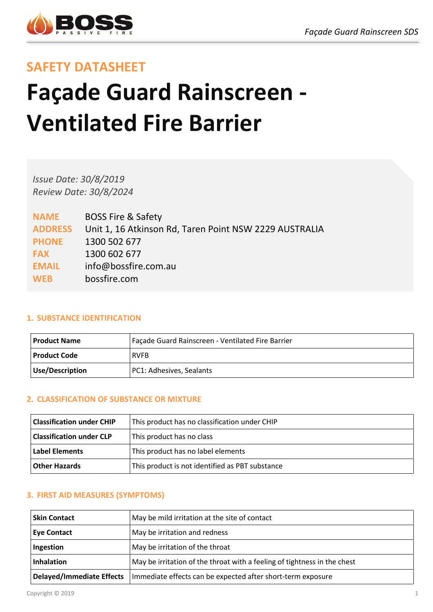

# **SAFETY DATASHEET**

# **Façade Guard Rainscreen - Ventilated Fire Barrier**

*Issue Date: 30/8/2019 Review Date: 30/8/2024*

| <b>NAME</b>    | <b>BOSS Fire &amp; Safety</b>                          |
|----------------|--------------------------------------------------------|
| <b>ADDRESS</b> | Unit 1, 16 Atkinson Rd, Taren Point NSW 2229 AUSTRALIA |
| <b>PHONE</b>   | 1300 502 677                                           |
| <b>FAX</b>     | 1300 602 677                                           |
| <b>EMAIL</b>   | info@bossfire.com.au                                   |
| <b>WEB</b>     | bossfire.com                                           |

#### **1. SUBSTANCE IDENTIFICATION**

| Product Name    | Façade Guard Rainscreen - Ventilated Fire Barrier |
|-----------------|---------------------------------------------------|
| l Product Code  | <b>RVFB</b>                                       |
| Use/Description | PC1: Adhesives, Sealants                          |

# **2. CLASSIFICATION OF SUBSTANCE OR MIXTURE**

| <b>Classification under CHIP</b> | This product has no classification under CHIP   |
|----------------------------------|-------------------------------------------------|
| <b>Classification under CLP</b>  | This product has no class                       |
| l Label Elements                 | This product has no label elements              |
| <b>Other Hazards</b>             | This product is not identified as PBT substance |

# **3. FIRST AID MEASURES (SYMPTOMS)**

| l Skin Contact            | May be mild irritation at the site of contact                            |
|---------------------------|--------------------------------------------------------------------------|
| <b>Eye Contact</b>        | May be irritation and redness                                            |
| Ingestion                 | May be irritation of the throat                                          |
| <b>Inhalation</b>         | May be irritation of the throat with a feeling of tightness in the chest |
| Delayed/Immediate Effects | Immediate effects can be expected after short-term exposure              |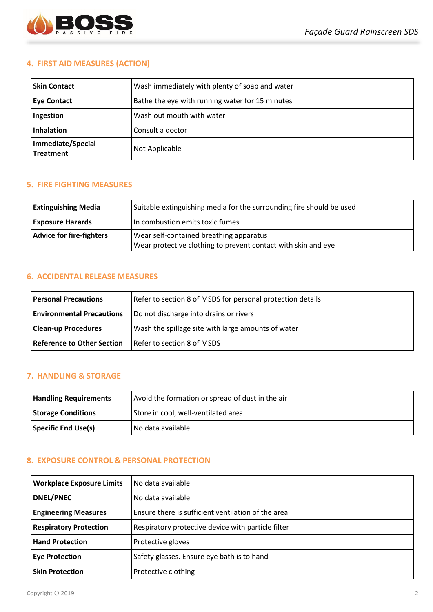

# **4. FIRST AID MEASURES (ACTION)**

| l Skin Contact                        | Wash immediately with plenty of soap and water  |
|---------------------------------------|-------------------------------------------------|
| <b>Eye Contact</b>                    | Bathe the eye with running water for 15 minutes |
| Ingestion                             | Wash out mouth with water                       |
| <b>Inhalation</b>                     | Consult a doctor                                |
| Immediate/Special<br><b>Treatment</b> | Not Applicable                                  |

#### **5. FIRE FIGHTING MEASURES**

| <b>Extinguishing Media</b>      | Suitable extinguishing media for the surrounding fire should be used                                     |
|---------------------------------|----------------------------------------------------------------------------------------------------------|
| <b>Exposure Hazards</b>         | In combustion emits toxic fumes                                                                          |
| <b>Advice for fire-fighters</b> | Wear self-contained breathing apparatus<br>Wear protective clothing to prevent contact with skin and eye |

#### **6. ACCIDENTAL RELEASE MEASURES**

| <b>Personal Precautions</b>       | Refer to section 8 of MSDS for personal protection details |
|-----------------------------------|------------------------------------------------------------|
| <b>Environmental Precautions</b>  | Do not discharge into drains or rivers                     |
| <b>Clean-up Procedures</b>        | Wash the spillage site with large amounts of water         |
| <b>Reference to Other Section</b> | Refer to section 8 of MSDS                                 |

#### **7. HANDLING & STORAGE**

| <b>Handling Requirements</b> | Avoid the formation or spread of dust in the air |
|------------------------------|--------------------------------------------------|
| <b>Storage Conditions</b>    | Store in cool, well-ventilated area              |
| Specific End Use(s)          | No data available                                |

# **8. EXPOSURE CONTROL & PERSONAL PROTECTION**

| <b>Workplace Exposure Limits</b> | No data available                                  |
|----------------------------------|----------------------------------------------------|
| <b>DNEL/PNEC</b>                 | No data available                                  |
| <b>Engineering Measures</b>      | Ensure there is sufficient ventilation of the area |
| <b>Respiratory Protection</b>    | Respiratory protective device with particle filter |
| <b>Hand Protection</b>           | Protective gloves                                  |
| <b>Eye Protection</b>            | Safety glasses. Ensure eye bath is to hand         |
| <b>Skin Protection</b>           | Protective clothing                                |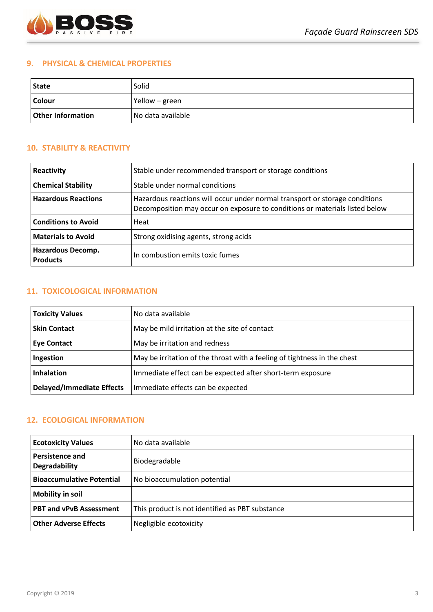

#### **9. PHYSICAL & CHEMICAL PROPERTIES**

| <b>State</b>             | Solid             |
|--------------------------|-------------------|
| <b>Colour</b>            | Yellow – green    |
| <b>Other Information</b> | No data available |

# **10. STABILITY & REACTIVITY**

| Reactivity                           | Stable under recommended transport or storage conditions                                                                                                   |
|--------------------------------------|------------------------------------------------------------------------------------------------------------------------------------------------------------|
| <b>Chemical Stability</b>            | Stable under normal conditions                                                                                                                             |
| <b>Hazardous Reactions</b>           | Hazardous reactions will occur under normal transport or storage conditions<br>Decomposition may occur on exposure to conditions or materials listed below |
| <b>Conditions to Avoid</b>           | Heat                                                                                                                                                       |
| <b>Materials to Avoid</b>            | Strong oxidising agents, strong acids                                                                                                                      |
| Hazardous Decomp.<br><b>Products</b> | In combustion emits toxic fumes                                                                                                                            |

### **11. TOXICOLOGICAL INFORMATION**

| <b>Toxicity Values</b>           | No data available                                                        |
|----------------------------------|--------------------------------------------------------------------------|
| <b>Skin Contact</b>              | May be mild irritation at the site of contact                            |
| <b>Eye Contact</b>               | May be irritation and redness                                            |
| Ingestion                        | May be irritation of the throat with a feeling of tightness in the chest |
| <b>Inhalation</b>                | Immediate effect can be expected after short-term exposure               |
| <b>Delayed/Immediate Effects</b> | Immediate effects can be expected                                        |

# **12. ECOLOGICAL INFORMATION**

| <b>Ecotoxicity Values</b>               | l No data available                             |
|-----------------------------------------|-------------------------------------------------|
| <b>Persistence and</b><br>Degradability | Biodegradable                                   |
| <b>Bioaccumulative Potential</b>        | No bioaccumulation potential                    |
| <b>Mobility in soil</b>                 |                                                 |
| <b>PBT and vPvB Assessment</b>          | This product is not identified as PBT substance |
| <b>Other Adverse Effects</b>            | Negligible ecotoxicity                          |